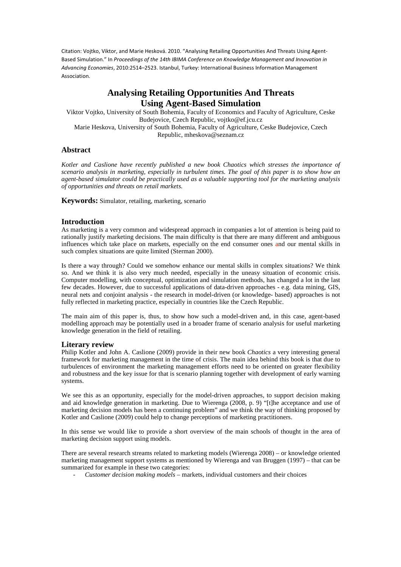# **Analysing Retailing Opportunities And Threats Using Agent-Based Simulation**

Viktor Vojtko, University of South Bohemia, Faculty of Economics and Faculty of Agriculture, Ceske Budejovice, Czech Republic, vojtko@ef.jcu.cz Marie Heskova, University of South Bohemia, Faculty of Agriculture, Ceske Budejovice, Czech Republic, mheskova@seznam.cz

# **Abstract**

*Kotler and Caslione have recently published a new book Chaotics which stresses the importance of scenario analysis in marketing, especially in turbulent times. The goal of this paper is to show how an agent-based simulator could be practically used as a valuable supporting tool for the marketing analysis of opportunities and threats on retail markets.* 

**Keywords:** Simulator, retailing, marketing, scenario

# **Introduction**

As marketing is a very common and widespread approach in companies a lot of attention is being paid to rationally justify marketing decisions. The main difficulty is that there are many different and ambiguous influences which take place on markets, especially on the end consumer ones and our mental skills in such complex situations are quite limited (Sterman 2000).

Is there a way through? Could we somehow enhance our mental skills in complex situations? We think so. And we think it is also very much needed, especially in the uneasy situation of economic crisis. Computer modelling, with conceptual, optimization and simulation methods, has changed a lot in the last few decades. However, due to successful applications of data-driven approaches - e.g. data mining, GIS, neural nets and conjoint analysis - the research in model-driven (or knowledge- based) approaches is not fully reflected in marketing practice, especially in countries like the Czech Republic.

The main aim of this paper is, thus, to show how such a model-driven and, in this case, agent-based modelling approach may be potentially used in a broader frame of scenario analysis for useful marketing knowledge generation in the field of retailing.

### **Literary review**

Philip Kotler and John A. Caslione (2009) provide in their new book *Chaotics* a very interesting general framework for marketing management in the time of crisis. The main idea behind this book is that due to turbulences of environment the marketing management efforts need to be oriented on greater flexibility and robustness and the key issue for that is scenario planning together with development of early warning systems.

We see this as an opportunity, especially for the model-driven approaches, to support decision making and aid knowledge generation in marketing. Due to Wierenga (2008, p. 9) "[t]he acceptance and use of marketing decision models has been a continuing problem" and we think the way of thinking proposed by Kotler and Caslione (2009) could help to change perceptions of marketing practitioners.

In this sense we would like to provide a short overview of the main schools of thought in the area of marketing decision support using models.

There are several research streams related to marketing models (Wierenga 2008) – or knowledge oriented marketing management support systems as mentioned by Wierenga and van Bruggen (1997) – that can be summarized for example in these two categories:

- *Customer decision making models* – markets, individual customers and their choices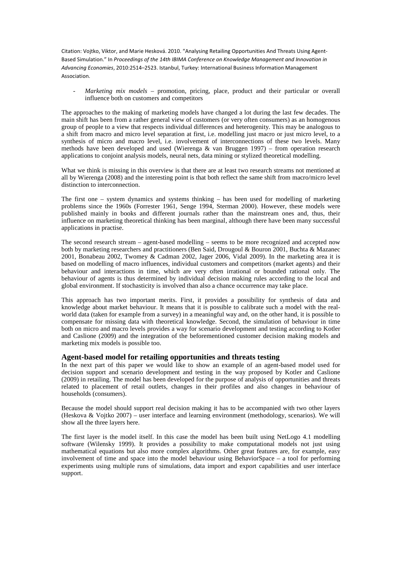- *Marketing mix models* – promotion, pricing, place, product and their particular or overall influence both on customers and competitors

The approaches to the making of marketing models have changed a lot during the last few decades. The main shift has been from a rather general view of customers (or very often consumers) as an homogenous group of people to a view that respects individual differences and heterogenity. This may be analogous to a shift from macro and micro level separation at first, i.e. modelling just macro or just micro level, to a synthesis of micro and macro level, i.e. involvement of interconnections of these two levels. Many methods have been developed and used (Wierenga & van Bruggen 1997) – from operation research applications to conjoint analysis models, neural nets, data mining or stylized theoretical modelling.

What we think is missing in this overview is that there are at least two research streams not mentioned at all by Wierenga (2008) and the interesting point is that both reflect the same shift from macro/micro level distinction to interconnection.

The first one – system dynamics and systems thinking – has been used for modelling of marketing problems since the 1960s (Forrester 1961, Senge 1994, Sterman 2000). However, these models were published mainly in books and different journals rather than the mainstream ones and, thus, their influence on marketing theoretical thinking has been marginal, although there have been many successful applications in practise.

The second research stream – agent-based modelling – seems to be more recognized and accepted now both by marketing researchers and practitioners (Ben Said, Drougoul & Bouron 2001, Buchta & Mazanec 2001, Bonabeau 2002, Twomey & Cadman 2002, Jager 2006, Vidal 2009). In the marketing area it is based on modelling of macro influences, individual customers and competitors (market agents) and their behaviour and interactions in time, which are very often irrational or bounded rational only. The behaviour of agents is thus determined by individual decision making rules according to the local and global environment. If stochasticity is involved than also a chance occurrence may take place.

This approach has two important merits. First, it provides a possibility for synthesis of data and knowledge about market behaviour. It means that it is possible to calibrate such a model with the realworld data (taken for example from a survey) in a meaningful way and, on the other hand, it is possible to compensate for missing data with theoretical knowledge. Second, the simulation of behaviour in time both on micro and macro levels provides a way for scenario development and testing according to Kotler and Caslione (2009) and the integration of the beforementioned customer decision making models and marketing mix models is possible too.

#### **Agent-based model for retailing opportunities and threats testing**

In the next part of this paper we would like to show an example of an agent-based model used for decision support and scenario development and testing in the way proposed by Kotler and Caslione (2009) in retailing. The model has been developed for the purpose of analysis of opportunities and threats related to placement of retail outlets, changes in their profiles and also changes in behaviour of households (consumers).

Because the model should support real decision making it has to be accompanied with two other layers (Heskova & Vojtko 2007) – user interface and learning environment (methodology, scenarios). We will show all the three layers here.

The first layer is the model itself. In this case the model has been built using NetLogo 4.1 modelling software (Wilensky 1999). It provides a possibility to make computational models not just using mathematical equations but also more complex algorithms. Other great features are, for example, easy involvement of time and space into the model behaviour using BehaviorSpace – a tool for performing experiments using multiple runs of simulations, data import and export capabilities and user interface support.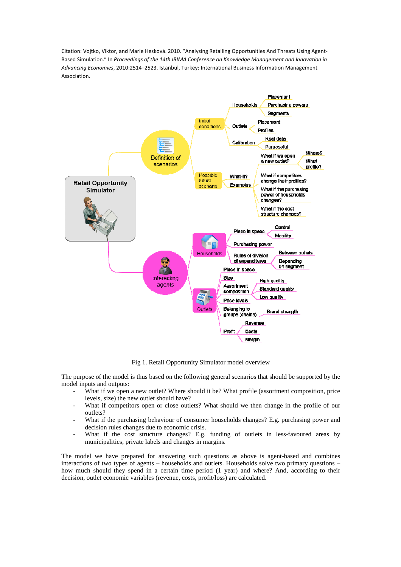

Fig 1. Retail Opportunity Simulator model overview

The purpose of the model is thus based on the following general scenarios that should be supported by the model inputs and outputs:

- What if we open a new outlet? Where should it be? What profile (assortment composition, price levels, size) the new outlet should have?
- What if competitors open or close outlets? What should we then change in the profile of our outlets?
- What if the purchasing behaviour of consumer households changes? E.g. purchasing power and decision rules changes due to economic crisis.
- What if the cost structure changes? E.g. funding of outlets in less-favoured areas by municipalities, private labels and changes in margins.

The model we have prepared for answering such questions as above is agent-based and combines interactions of two types of agents – households and outlets. Households solve two primary questions – how much should they spend in a certain time period (1 year) and where? And, according to their decision, outlet economic variables (revenue, costs, profit/loss) are calculated.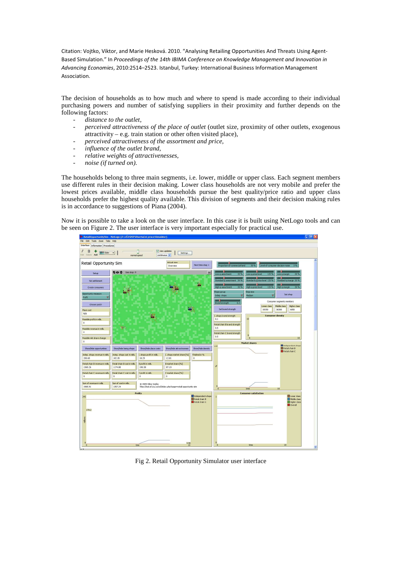The decision of households as to how much and where to spend is made according to their individual purchasing powers and number of satisfying suppliers in their proximity and further depends on the following factors:

- *distance to the outlet,*
- *perceived attractiveness of the place of outlet* (outlet size, proximity of other outlets, exogenous attractivity – e.g. train station or other often visited place),
- *perceived attractiveness of the assortment and price,*
- *influence of the outlet brand,*
- *relative weights of attractivenesses,*
- *noise (if turned on).*

The households belong to three main segments, i.e. lower, middle or upper class. Each segment members use different rules in their decision making. Lower class households are not very mobile and prefer the lowest prices available, middle class households pursue the best quality/price ratio and upper class households prefer the highest quality available. This division of segments and their decision making rules is in accordance to suggestions of Piana (2004).

Now it is possible to take a look on the user interface. In this case it is built using NetLogo tools and can be seen on Figure 2. The user interface is very important especially for practical use.



Fig 2. Retail Opportunity Simulator user interface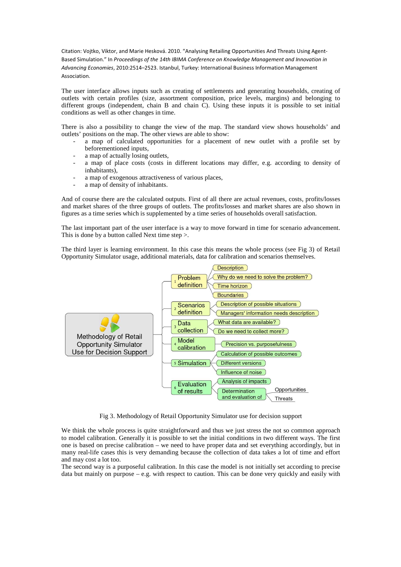The user interface allows inputs such as creating of settlements and generating households, creating of outlets with certain profiles (size, assortment composition, price levels, margins) and belonging to different groups (independent, chain B and chain C). Using these inputs it is possible to set initial conditions as well as other changes in time.

There is also a possibility to change the view of the map. The standard view shows households' and outlets' positions on the map. The other views are able to show:

- a map of calculated opportunities for a placement of new outlet with a profile set by beforementioned inputs,
- a map of actually losing outlets,
- a map of place costs (costs in different locations may differ, e.g. according to density of inhabitants),
- a map of exogenous attractiveness of various places,
- a map of density of inhabitants.

And of course there are the calculated outputs. First of all there are actual revenues, costs, profits/losses and market shares of the three groups of outlets. The profits/losses and market shares are also shown in figures as a time series which is supplemented by a time series of households overall satisfaction.

The last important part of the user interface is a way to move forward in time for scenario advancement. This is done by a button called Next time step >.

The third layer is learning environment. In this case this means the whole process (see Fig 3) of Retail Opportunity Simulator usage, additional materials, data for calibration and scenarios themselves.



Fig 3. Methodology of Retail Opportunity Simulator use for decision support

We think the whole process is quite straightforward and thus we just stress the not so common approach to model calibration. Generally it is possible to set the initial conditions in two different ways. The first one is based on precise calibration – we need to have proper data and set everything accordingly, but in many real-life cases this is very demanding because the collection of data takes a lot of time and effort and may cost a lot too.

The second way is a purposeful calibration. In this case the model is not initially set according to precise data but mainly on purpose  $-\mathbf{e} \cdot \mathbf{g}$ , with respect to caution. This can be done very quickly and easily with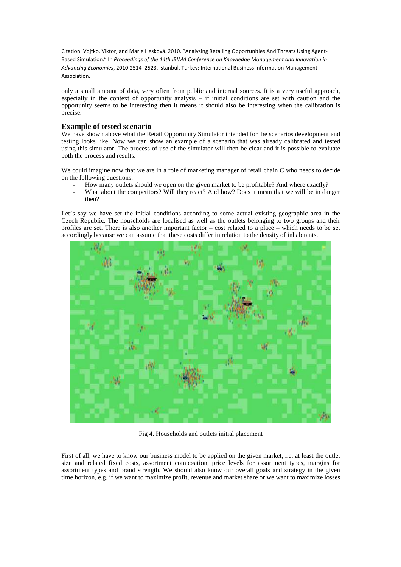only a small amount of data, very often from public and internal sources. It is a very useful approach, especially in the context of opportunity analysis – if initial conditions are set with caution and the opportunity seems to be interesting then it means it should also be interesting when the calibration is precise.

## **Example of tested scenario**

We have shown above what the Retail Opportunity Simulator intended for the scenarios development and testing looks like. Now we can show an example of a scenario that was already calibrated and tested using this simulator. The process of use of the simulator will then be clear and it is possible to evaluate both the process and results.

We could imagine now that we are in a role of marketing manager of retail chain C who needs to decide on the following questions:

- How many outlets should we open on the given market to be profitable? And where exactly?
- What about the competitors? Will they react? And how? Does it mean that we will be in danger then?

Let's say we have set the initial conditions according to some actual existing geographic area in the Czech Republic. The households are localised as well as the outlets belonging to two groups and their profiles are set. There is also another important factor – cost related to a place – which needs to be set accordingly because we can assume that these costs differ in relation to the density of inhabitants.



Fig 4. Households and outlets initial placement

First of all, we have to know our business model to be applied on the given market, i.e. at least the outlet size and related fixed costs, assortment composition, price levels for assortment types, margins for assortment types and brand strength. We should also know our overall goals and strategy in the given time horizon, e.g. if we want to maximize profit, revenue and market share or we want to maximize losses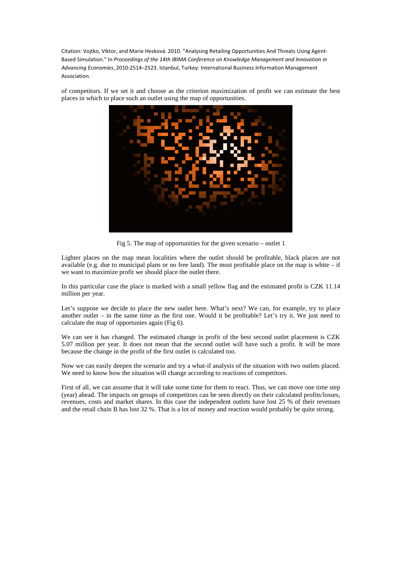of competitors. If we set it and choose as the criterion maximization of profit we can estimate the best places in which to place such an outlet using the map of opportunities.



Fig 5. The map of opportunities for the given scenario – outlet 1

Lighter places on the map mean localities where the outlet should be profitable, black places are not available (e.g. due to municipal plans or no free land). The most profitable place on the map is white  $-$  if we want to maximize profit we should place the outlet there.

In this particular case the place is marked with a small yellow flag and the estimated profit is CZK 11.14 million per year.

Let's suppose we decide to place the new outlet here. What's next? We can, for example, try to place another outlet – in the same time as the first one. Would it be profitable? Let's try it. We just need to calculate the map of opportunies again (Fig 6).

We can see it has changed. The estimated change in profit of the best second outlet placement is CZK 5.07 million per year. It does not mean that the second outlet will have such a profit. It will be more because the change in the profit of the first outlet is calculated too.

Now we can easily deepen the scenario and try a what-if analysis of the situation with two outlets placed. We need to know how the situation will change according to reactions of competitors.

First of all, we can assume that it will take some time for them to react. Thus, we can move one time step (year) ahead. The impacts on groups of competitors can be seen directly on their calculated profits/losses, revenues, costs and market shares. In this case the independent outlets have lost 25 % of their revenues and the retail chain B has lost 32 %. That is a lot of money and reaction would probably be quite strong.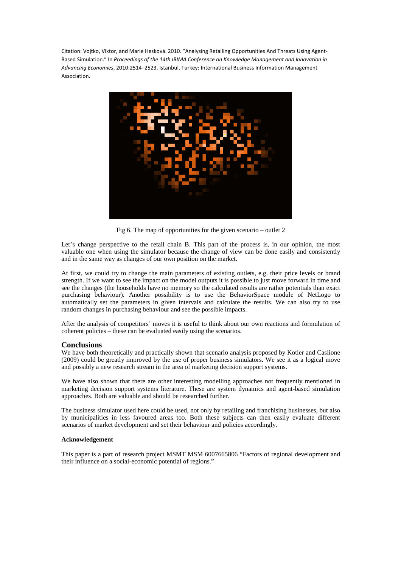

Fig 6. The map of opportunities for the given scenario – outlet 2

Let's change perspective to the retail chain B. This part of the process is, in our opinion, the most valuable one when using the simulator because the change of view can be done easily and consistently and in the same way as changes of our own position on the market.

At first, we could try to change the main parameters of existing outlets, e.g. their price levels or brand strength. If we want to see the impact on the model outputs it is possible to just move forward in time and see the changes (the households have no memory so the calculated results are rather potentials than exact purchasing behaviour). Another possibility is to use the BehaviorSpace module of NetLogo to automatically set the parameters in given intervals and calculate the results. We can also try to use random changes in purchasing behaviour and see the possible impacts.

After the analysis of competitors' moves it is useful to think about our own reactions and formulation of coherent policies – these can be evaluated easily using the scenarios.

#### **Conclusions**

We have both theoretically and practically shown that scenario analysis proposed by Kotler and Caslione (2009) could be greatly improved by the use of proper business simulators. We see it as a logical move and possibly a new research stream in the area of marketing decision support systems.

We have also shown that there are other interesting modelling approaches not frequently mentioned in marketing decision support systems literature. These are system dynamics and agent-based simulation approaches. Both are valuable and should be researched further.

The business simulator used here could be used, not only by retailing and franchising businesses, but also by municipalities in less favoured areas too. Both these subjects can then easily evaluate different scenarios of market development and set their behaviour and policies accordingly.

#### **Acknowledgement**

This paper is a part of research project MSMT MSM 6007665806 "Factors of regional development and their influence on a social-economic potential of regions."